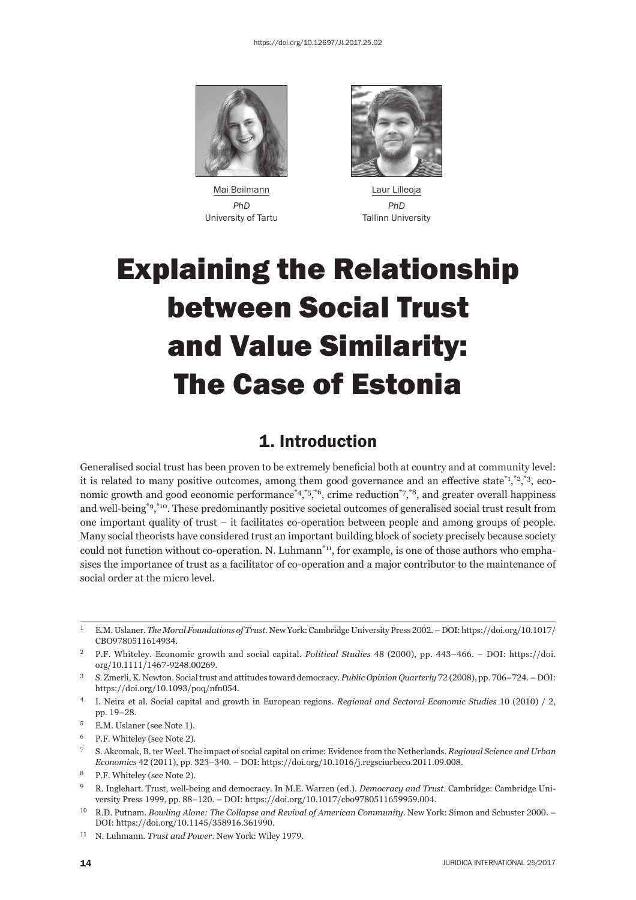

Mai Beilmann **Laur Lilleoja**  *PhD PhD* University of Tartu Tallinn University



# Explaining the Relationship between Social Trust and Value Similarity: The Case of Estonia

# 1. Introduction

Generalised social trust has been proven to be extremely beneficial both at country and at community level: it is related to many positive outcomes, among them good governance and an effective state<sup>\*1</sup>,<sup>\*2</sup>,\*3, economic growth and good economic performance<sup>\*4</sup>,<sup>\*5</sup>,<sup>\*6</sup>, crime reduction<sup>\*7</sup>,<sup>\*8</sup>, and greater overall happiness and well-being<sup>\*9</sup>,<sup>\*10</sup>. These predominantly positive societal outcomes of generalised social trust result from one important quality of trust – it facilitates co-operation between people and among groups of people. Many social theorists have considered trust an important building block of society precisely because society could not function without co-operation. N. Luhmann<sup>\*11</sup>, for example, is one of those authors who emphasises the importance of trust as a facilitator of co-operation and a major contributor to the maintenance of social order at the micro level.

<sup>&</sup>lt;sup>1</sup> E.M. Uslaner. *The Moral Foundations of Trust*. New York: Cambridge University Press 2002. – DOI: https://doi.org/10.1017/ CBO9780511614934.

<sup>&</sup>lt;sup>2</sup> P.F. Whiteley. Economic growth and social capital. *Political Studies* 48 (2000), pp. 443–466. – DOI: https://doi. org/10.1111/1467-9248.00269.

<sup>&</sup>lt;sup>3</sup> S. Zmerli, K. Newton. Social trust and attitudes toward democracy. *Public Opinion Quarterly* 72 (2008), pp. 706-724. – DOI: https://doi.org/10.1093/poq/nfn054.

<sup>&</sup>lt;sup>4</sup> I. Neira et al. Social capital and growth in European regions. *Regional and Sectoral Economic Studies* 10 (2010) / 2, pp. 19–28.

<sup>&</sup>lt;sup>5</sup> E.M. Uslaner (see Note 1).

<sup>&</sup>lt;sup>6</sup> P.F. Whiteley (see Note 2).

<sup>ɸ</sup> S. Akcomak, B. ter Weel. The impact of social capital on crime: Evidence from the Netherlands. *Regional Science and Urban Economics* 42 (2011), pp. 323-340. – DOI: https://doi.org/10.1016/j.regsciurbeco.2011.09.008.

P.F. Whiteley (see Note 2).

ɺ R. Inglehart. Trust, well-being and democracy. In M.E. Warren (ed.). *Democracy and Trust*. Cambridge: Cambridge University Press 1999, pp. 88-120. - DOI: https://doi.org/10.1017/cbo9780511659959.004.

<sup>&</sup>lt;sup>10</sup> R.D. Putnam. *Bowling Alone: The Collapse and Revival of American Community*. New York: Simon and Schuster 2000. – DOI: https://doi.org/10.1145/358916.361990.

<sup>&</sup>lt;sup>11</sup> N. Luhmann. *Trust and Power*. New York: Wiley 1979.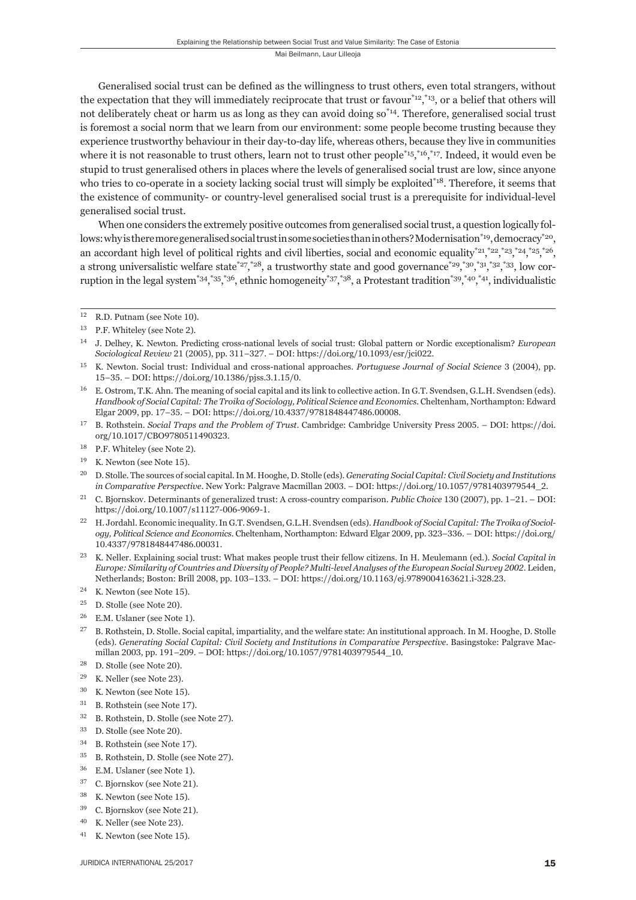Generalised social trust can be defined as the willingness to trust others, even total strangers, without the expectation that they will immediately reciprocate that trust or favour<sup>\*12</sup>,<sup>\*13</sup>, or a belief that others will not deliberately cheat or harm us as long as they can avoid doing so\*14. Therefore, generalised social trust is foremost a social norm that we learn from our environment: some people become trusting because they experience trustworthy behaviour in their day-to-day life, whereas others, because they live in communities where it is not reasonable to trust others, learn not to trust other people<sup>\*15</sup>,<sup>\*16</sup>,<sup>\*17</sup>. Indeed, it would even be stupid to trust generalised others in places where the levels of generalised social trust are low, since anyone who tries to co-operate in a society lacking social trust will simply be exploited<sup>\*18</sup>. Therefore, it seems that the existence of community- or country-level generalised social trust is a prerequisite for individual-level generalised social trust.

When one considers the extremely positive outcomes from generalised social trust, a question logically follows: why is there more generalised social trust in some societies than in others? Modernisation\*<sup>19</sup>, democracy<sup>\*20</sup>, an accordant high level of political rights and civil liberties, social and economic equality<sup>\*21</sup>,<sup>\*22</sup>,<sup>\*23</sup>,<sup>\*24</sup>,<sup>\*25</sup>,<sup>\*26</sup>, a strong universalistic welfare state\*27,\*28, a trustworthy state and good governance\*29,\*30,\*31,\*32,\*33, low corruption in the legal system<sup>\*34</sup>,<sup>\*35</sup>,<sup>\*36</sup>, ethnic homogeneity<sup>\*37</sup>,<sup>\*38</sup>, a Protestant tradition<sup>\*39</sup>,<sup>\*40</sup>,<sup>\*41</sup>, individualistic

 $^{19}$  K. Newton (see Note 15).

ɳɱ D. Stolle. The sources of social capital. In M. Hooghe, D. Stolle (eds). *Generating Social Capital: Civil Society and Institutions in Comparative Perspective*. New York: Palgrave Macmillan 2003. – DOI: https://doi.org/10.1057/9781403979544 2.

- C. Bjornskov. Determinants of generalized trust: A cross-country comparison. *Public Choice* 130 (2007), pp. 1-21. DOI: https://doi.org/10.1007/s11127-006-9069-1.
- <sup>22</sup> H. Jordahl. Economic inequality. In G.T. Svendsen, G.L.H. Svendsen (eds). *Handbook of Social Capital: The Troika of Sociology, Political Science and Economics*. Cheltenham, Northampton: Edward Elgar 2009, pp. 323–336. – DOI: https://doi.org/ 10.4337/9781848447486.00031.
- ɳɴ K. Neller. Explaining social trust: What makes people trust their fellow citizens. In H. Meulemann (ed.). *Social Capital in Europe: Similarity of Countries and Diversity of People? Multi-level Analyses of the European Social Survey 2002. Leiden,* Netherlands; Boston: Brill 2008, pp. 103-133. - DOI: https://doi.org/10.1163/ej.9789004163621.i-328.23.

- $25$  D. Stolle (see Note 20).
- <sup>26</sup> E.M. Uslaner (see Note 1).
- <sup>27</sup> B. Rothstein, D. Stolle. Social capital, impartiality, and the welfare state: An institutional approach. In M. Hooghe, D. Stolle (eds). *Generating Social Capital: Civil Society and Institutions in Comparative Perspective*. Basingstoke: Palgrave Macmillan 2003, pp. 191-209. – DOI: https://doi.org/10.1057/9781403979544\_10.
- $28$  D. Stolle (see Note 20).
- <sup>29</sup> K. Neller (see Note 23).
- $30$  K. Newton (see Note 15).
- $31$  B. Rothstein (see Note 17).
- <sup>32</sup> B. Rothstein, D. Stolle (see Note 27).
- <sup>33</sup> D. Stolle (see Note 20).
- <sup>34</sup> B. Rothstein (see Note 17).
- <sup>35</sup> B. Rothstein, D. Stolle (see Note 27).
- <sup>36</sup> E.M. Uslaner (see Note 1).
- <sup>37</sup> C. Bjornskov (see Note 21).
- <sup>38</sup> K. Newton (see Note 15).
- <sup>39</sup> C. Bjornskov (see Note 21).
- <sup>40</sup> K. Neller (see Note 23).
- <sup>41</sup> K. Newton (see Note 15).

 $12$  R.D. Putnam (see Note 10).

<sup>&</sup>lt;sup>13</sup> P.F. Whiteley (see Note 2).

ɲɵ J. Delhey, K. Newton. Predicting cross-national levels of social trust: Global pattern or Nordic exceptionalism? *European Sociological Review* 21 (2005), pp. 311–327. – DOI: https://doi.org/10.1093/esr/jci022.

K. Newton. Social trust: Individual and cross-national approaches. *Portuguese Journal of Social Science* 3 (2004), pp.  $15-35. - DOI: [https://doi.org/10.1386/pjss.3.1.15/0.](https://doi.org/10.1386/pjss.3.1.15/0)$ 

E. Ostrom, T.K. Ahn. The meaning of social capital and its link to collective action. In G.T. Svendsen, G.L.H. Svendsen (eds). *Handbook of Social Capital: The Troika of Sociology, Political Science and Economics*. Cheltenham, Northampton: Edward Elgar 2009, pp. 17-35. - DOI: https://doi.org/10.4337/9781848447486.00008.

<sup>&</sup>lt;sup>17</sup> B. Rothstein. *Social Traps and the Problem of Trust*. Cambridge: Cambridge University Press 2005. – DOI: https://doi. org/10.1017/CBO9780511490323.

<sup>&</sup>lt;sup>18</sup> P.F. Whiteley (see Note 2).

 $24$  K. Newton (see Note 15).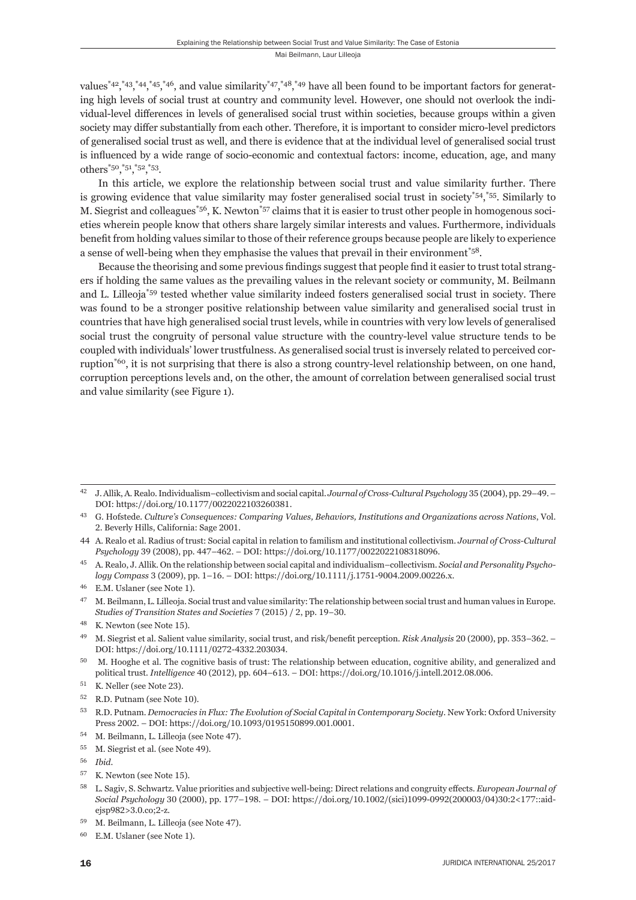values<sup>\*42</sup>,<sup>\*43</sup>,\*45,\*45,\*46, and value similarity<sup>\*47,\*48</sup>,\*49 have all been found to be important factors for generating high levels of social trust at country and community level. However, one should not overlook the individual-level differences in levels of generalised social trust within societies, because groups within a given society may differ substantially from each other. Therefore, it is important to consider micro-level predictors of generalised social trust as well, and there is evidence that at the individual level of generalised social trust is influenced by a wide range of socio-economic and contextual factors: income, education, age, and many others<sup>\*50</sup>,<sup>\*51</sup>,<sup>\*52</sup>,<sup>\*53</sup>.

In this article, we explore the relationship between social trust and value similarity further. There is growing evidence that value similarity may foster generalised social trust in society\*<sup>54</sup>,\*55. Similarly to M. Siegrist and colleagues\*56, K. Newton\*57 claims that it is easier to trust other people in homogenous societies wherein people know that others share largely similar interests and values. Furthermore, individuals benefit from holding values similar to those of their reference groups because people are likely to experience a sense of well-being when they emphasise the values that prevail in their environment\*58.

Because the theorising and some previous findings suggest that people find it easier to trust total strangers if holding the same values as the prevailing values in the relevant society or community, M. Beilmann and L. Lilleoja\*59 tested whether value similarity indeed fosters generalised social trust in society. There was found to be a stronger positive relationship between value similarity and generalised social trust in countries that have high generalised social trust levels, while in countries with very low levels of generalised social trust the congruity of personal value structure with the country-level value structure tends to be coupled with individuals' lower trustfulness. As generalised social trust is inversely related to perceived corruption\*60, it is not surprising that there is also a strong country-level relationship between, on one hand, corruption perceptions levels and, on the other, the amount of correlation between generalised social trust and value similarity (see Figure 1).

- ɶɴ R.D. Putnam. *Democracies in Flux: The Evolution of Social Capital in Contemporary Society*. New York: Oxford University Press 2002. – DOI: https://doi.org/10.1093/0195150899.001.0001.
- <sup>54</sup> M. Beilmann, L. Lilleoja (see Note 47).
- <sup>55</sup> M. Siegrist et al. (see Note 49).

<sup>57</sup> K. Newton (see Note 15).

J. Allik, A. Realo. Individualism-collectivism and social capital. *Journal of Cross-Cultural Psychology* 35 (2004), pp. 29-49. -DOI: https://doi.org/10.1177/0022022103260381.

ɵɴ G. Hofstede. *Culture's Consequences: Comparing Values, Behaviors, Institutions and Organizations across Nations*, Vol. 2. Beverly Hills, California: Sage 2001.

ɵɵ A. Realo et al. Radius of trust: Social capital in relation to familism and institutional collectivism. *Journal of Cross-Cultural*  Psychology 39 (2008), pp. 447-462. – DOI: https://doi.org/10.1177/0022022108318096.

ɵɶ A. Realo, J. Allik. On the relationship between social capital and individualism–collectivism. *Social and Personality Psychology Compass* 3 (2009), pp. 1–16. – DOI: https://doi.org/10.1111/j.1751-9004.2009.00226.x.

<sup>&</sup>lt;sup>46</sup> E.M. Uslaner (see Note 1).

<sup>&</sup>lt;sup>47</sup> M. Beilmann, L. Lilleoja. Social trust and value similarity: The relationship between social trust and human values in Europe. *Studies of Transition States and Societies*  $7$  (2015) / 2, pp. 19-30.

K. Newton (see Note 15).

<sup>&</sup>lt;sup>49</sup> M. Siegrist et al. Salient value similarity, social trust, and risk/benefit perception. *Risk Analysis* 20 (2000), pp. 353–362. – DOI: https://doi.org/10.1111/0272-4332.203034.

ɶɱ M. Hooghe et al. The cognitive basis of trust: The relationship between education, cognitive ability, and generalized and political trust. *Intelligence* 40 (2012), pp. 604–613. – DOI: https://doi.org/10.1016/j.intell.2012.08.006.

 $51$  K. Neller (see Note 23).

 $52$  R.D. Putnam (see Note 10).

ɶɷ *Ibid*.

<sup>&</sup>lt;sup>58</sup> L. Sagiv, S. Schwartz. Value priorities and subjective well-being: Direct relations and congruity effects. *European Journal of Social Psychology* 30 (2000), pp. 177-198. - DOI: https://doi.org/10.1002/(sici)1099-0992(200003/04)30:2<177::aidejsp982>3.0.co;2-z.

<sup>&</sup>lt;sup>59</sup> M. Beilmann, L. Lilleoja (see Note 47).

<sup>&</sup>lt;sup>60</sup> E.M. Uslaner (see Note 1).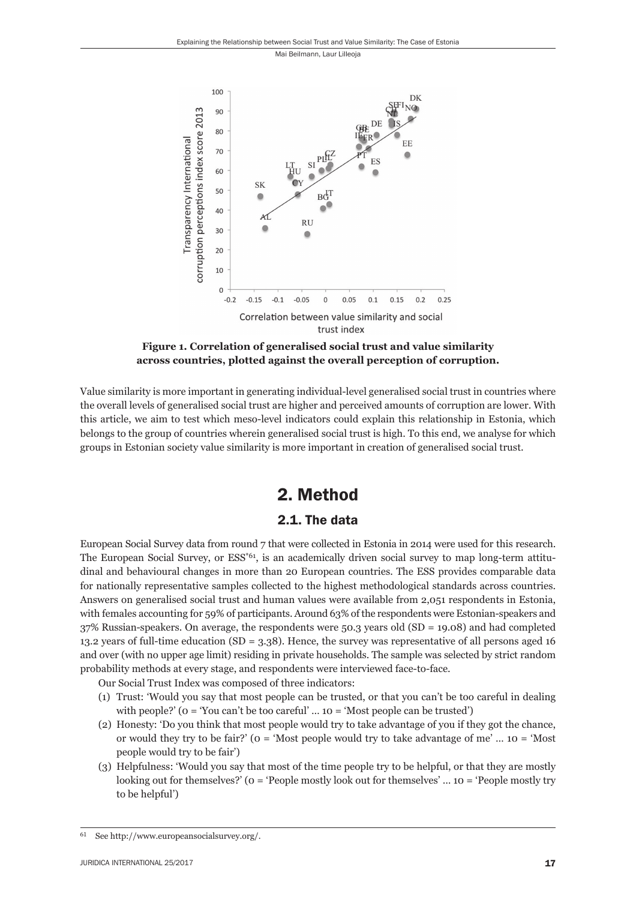



**Figure 1. Correlation of generalised social trust and value similarity across countries, plotted against the overall perception of corruption.**

Value similarity is more important in generating individual-level generalised social trust in countries where the overall levels of generalised social trust are higher and perceived amounts of corruption are lower. With this article, we aim to test which meso-level indicators could explain this relationship in Estonia, which belongs to the group of countries wherein generalised social trust is high. To this end, we analyse for which groups in Estonian society value similarity is more important in creation of generalised social trust.

## 2. Method

#### 2.1. The data

European Social Survey data from round 7 that were collected in Estonia in 2014 were used for this research. The European Social Survey, or ESS<sup>\*61</sup>, is an academically driven social survey to map long-term attitudinal and behavioural changes in more than 20 European countries. The ESS provides comparable data for nationally representative samples collected to the highest methodological standards across countries. Answers on generalised social trust and human values were available from 2,051 respondents in Estonia, with females accounting for 59% of participants. Around 63% of the respondents were Estonian-speakers and 37% Russian-speakers. On average, the respondents were 50.3 years old (SD = 19.08) and had completed 13.2 years of full-time education (SD = 3.38). Hence, the survey was representative of all persons aged 16 and over (with no upper age limit) residing in private households. The sample was selected by strict random probability methods at every stage, and respondents were interviewed face-to-face.

Our Social Trust Index was composed of three indicators:

- (1) Trust: 'Would you say that most people can be trusted, or that you can't be too careful in dealing with people?' ( $o = You can't be too careful' ... 10 = 'Most people can be trusted')$
- (2) Honesty: 'Do you think that most people would try to take advantage of you if they got the chance, or would they try to be fair?' ( $o = 'Most$  people would try to take advantage of me' ...  $io = 'Most$ people would try to be fair')
- (3) Helpfulness: 'Would you say that most of the time people try to be helpful, or that they are mostly looking out for themselves?' (o = 'People mostly look out for themselves' ... 10 = 'People mostly try to be helpful')

<sup>&</sup>lt;sup>61</sup> See http://www.europeansocialsurvey.org/.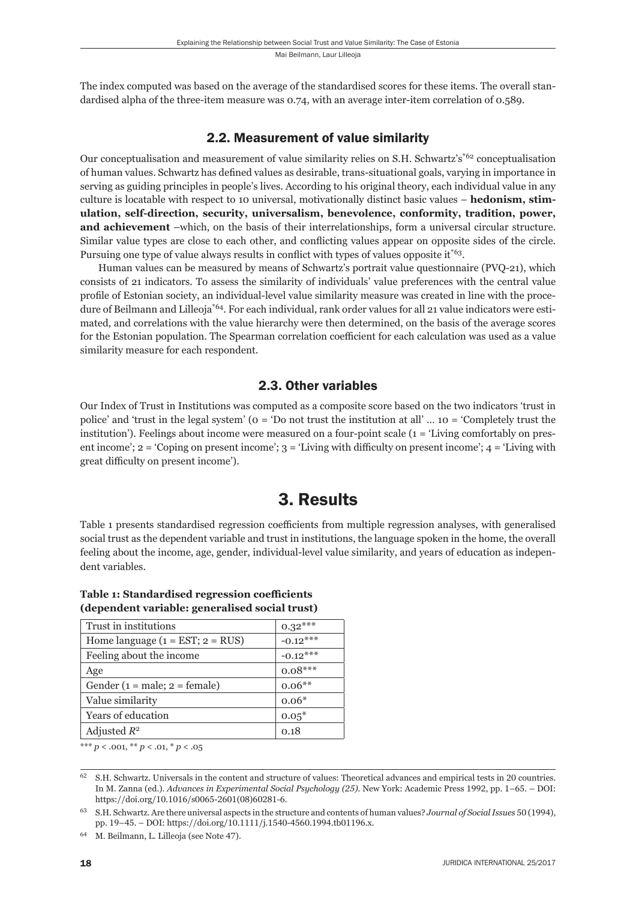The index computed was based on the average of the standardised scores for these items. The overall standardised alpha of the three-item measure was 0.74, with an average inter-item correlation of 0.589.

## 2.2. Measurement of value similarity

Our conceptualisation and measurement of value similarity relies on S.H. Schwartz's $*62$  conceptualisation of human values. Schwartz has defined values as desirable, trans-situational goals, varying in importance in serving as guiding principles in people's lives. According to his original theory, each individual value in any culture is locatable with respect to 10 universal, motivationally distinct basic values – **hedonism, stimulation, self-direction, security, universalism, benevolence, conformity, tradition, power, and achievement** –which, on the basis of their interrelationships, form a universal circular structure. Similar value types are close to each other, and conflicting values appear on opposite sides of the circle. Pursuing one type of value always results in conflict with types of values opposite it<sup>\*63</sup>.

Human values can be measured by means of Schwartz's portrait value questionnaire (PVQ-21), which consists of 21 indicators. To assess the similarity of individuals' value preferences with the central value profile of Estonian society, an individual-level value similarity measure was created in line with the procedure of Beilmann and Lilleoja<sup>\*64</sup>. For each individual, rank order values for all 21 value indicators were estimated, and correlations with the value hierarchy were then determined, on the basis of the average scores for the Estonian population. The Spearman correlation coefficient for each calculation was used as a value similarity measure for each respondent.

### 2.3. Other variables

Our Index of Trust in Institutions was computed as a composite score based on the two indicators 'trust in police' and 'trust in the legal system' (0 = 'Do not trust the institution at all' … 10 = 'Completely trust the institution'). Feelings about income were measured on a four-point scale (1 = 'Living comfortably on present income';  $2 = 'Coping on present income'; 3 = 'Living with difficulty on present income'; 4 = 'Living with$ great difficulty on present income').

## 3. Results

Table 1 presents standardised regression coefficients from multiple regression analyses, with generalised social trust as the dependent variable and trust in institutions, the language spoken in the home, the overall feeling about the income, age, gender, individual-level value similarity, and years of education as independent variables.

| Trust in institutions              | $0.32***$  |
|------------------------------------|------------|
| Home language $(1 = EST; 2 = RUS)$ | $-0.12***$ |
| Feeling about the income           | $-0.12***$ |
| Age                                | $0.08***$  |
| Gender $(1 = male; 2 = female)$    | $0.06**$   |
| Value similarity                   | $0.06*$    |
| Years of education                 | $0.05*$    |
| Adjusted $R^2$                     | 0.18       |
|                                    |            |

#### **Table 1: Standardised regression coeffi cients (dependent variable: generalised social trust)**

\*\*\* *p* < .001, \*\* *p* < .01, \* *p* < .05

 $62$  S.H. Schwartz. Universals in the content and structure of values: Theoretical advances and empirical tests in 20 countries. In M. Zanna (ed.). *Advances in Experimental Social Psychology (25)*. New York: Academic Press 1992, pp. 1–65. – DOI: https://doi.org/10.1016/s0065-2601(08)60281-6.

<sup>63</sup> S.H. Schwartz. Are there universal aspects in the structure and contents of human values? *Journal of Social Issues* 50 (1994), pp. 19-45. – DOI: https://doi.org/10.1111/j.1540-4560.1994.tb01196.x.

<sup>&</sup>lt;sup>64</sup> M. Beilmann, L. Lilleoja (see Note 47).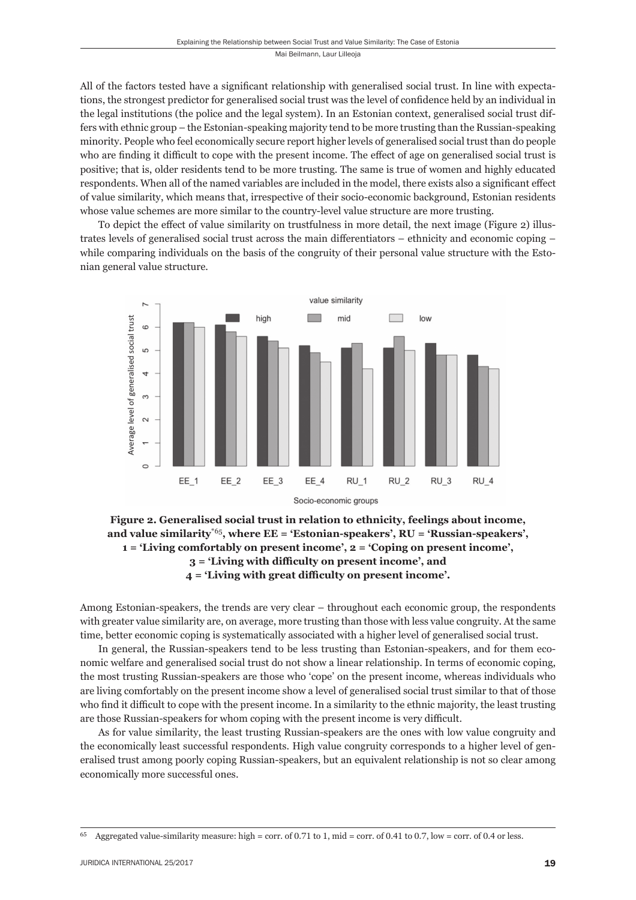All of the factors tested have a significant relationship with generalised social trust. In line with expectations, the strongest predictor for generalised social trust was the level of confidence held by an individual in the legal institutions (the police and the legal system). In an Estonian context, generalised social trust differs with ethnic group – the Estonian-speaking majority tend to be more trusting than the Russian-speaking minority. People who feel economically secure report higher levels of generalised social trust than do people who are finding it difficult to cope with the present income. The effect of age on generalised social trust is positive; that is, older residents tend to be more trusting. The same is true of women and highly educated respondents. When all of the named variables are included in the model, there exists also a significant effect of value similarity, which means that, irrespective of their socio-economic background, Estonian residents whose value schemes are more similar to the country-level value structure are more trusting.

To depict the effect of value similarity on trustfulness in more detail, the next image (Figure 2) illustrates levels of generalised social trust across the main differentiators – ethnicity and economic coping – while comparing individuals on the basis of the congruity of their personal value structure with the Estonian general value structure.



**Figure 2. Generalised social trust in relation to ethnicity, feelings about income, and value similarity**\*65**, where EE = 'Estonian-speakers', RU = 'Russian-speakers', 1 = 'Living comfortably on present income', 2 = 'Coping on present income', 3 = 'Living with diffi culty on present income', and 4 = 'Living with great diffi culty on present income'.**

Among Estonian-speakers, the trends are very clear – throughout each economic group, the respondents with greater value similarity are, on average, more trusting than those with less value congruity. At the same time, better economic coping is systematically associated with a higher level of generalised social trust.

In general, the Russian-speakers tend to be less trusting than Estonian-speakers, and for them economic welfare and generalised social trust do not show a linear relationship. In terms of economic coping, the most trusting Russian-speakers are those who 'cope' on the present income, whereas individuals who are living comfortably on the present income show a level of generalised social trust similar to that of those who find it difficult to cope with the present income. In a similarity to the ethnic majority, the least trusting are those Russian-speakers for whom coping with the present income is very difficult.

As for value similarity, the least trusting Russian-speakers are the ones with low value congruity and the economically least successful respondents. High value congruity corresponds to a higher level of generalised trust among poorly coping Russian-speakers, but an equivalent relationship is not so clear among economically more successful ones.

 $^{65}$  Aggregated value-similarity measure: high = corr. of 0.71 to 1, mid = corr. of 0.41 to 0.7, low = corr. of 0.4 or less.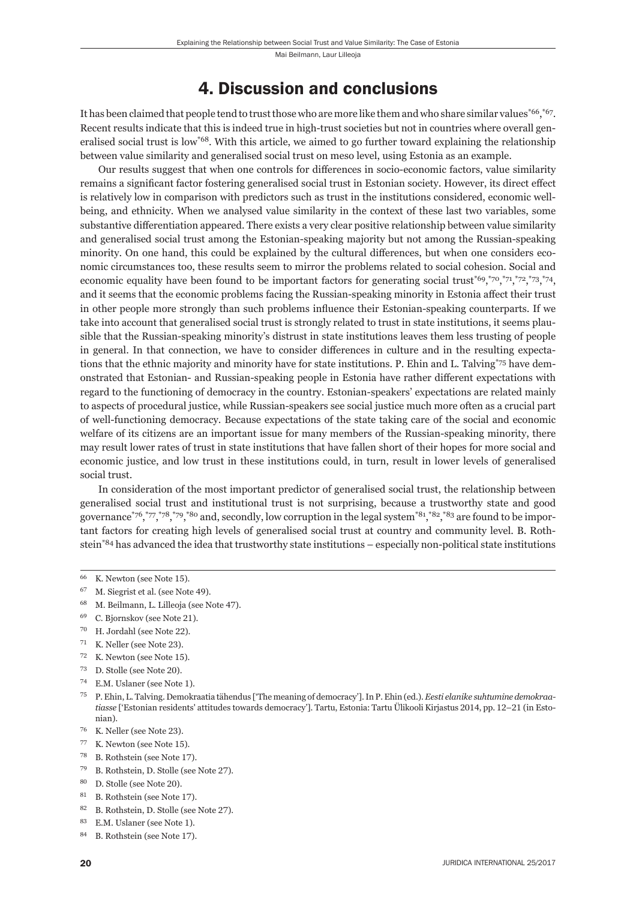## 4. Discussion and conclusions

It has been claimed that people tend to trust those who are more like them and who share similar values\*66, \*67. Recent results indicate that this is indeed true in high-trust societies but not in countries where overall generalised social trust is low\*68. With this article, we aimed to go further toward explaining the relationship between value similarity and generalised social trust on meso level, using Estonia as an example.

Our results suggest that when one controls for differences in socio-economic factors, value similarity remains a significant factor fostering generalised social trust in Estonian society. However, its direct effect is relatively low in comparison with predictors such as trust in the institutions considered, economic wellbeing, and ethnicity. When we analysed value similarity in the context of these last two variables, some substantive differentiation appeared. There exists a very clear positive relationship between value similarity and generalised social trust among the Estonian-speaking majority but not among the Russian-speaking minority. On one hand, this could be explained by the cultural differences, but when one considers economic circumstances too, these results seem to mirror the problems related to social cohesion. Social and economic equality have been found to be important factors for generating social trust\*69,\*70,\*71,\*72,\*73,\*74, and it seems that the economic problems facing the Russian-speaking minority in Estonia affect their trust in other people more strongly than such problems influence their Estonian-speaking counterparts. If we take into account that generalised social trust is strongly related to trust in state institutions, it seems plausible that the Russian-speaking minority's distrust in state institutions leaves them less trusting of people in general. In that connection, we have to consider differences in culture and in the resulting expectations that the ethnic majority and minority have for state institutions. P. Ehin and L. Talving\*75 have demonstrated that Estonian- and Russian-speaking people in Estonia have rather different expectations with regard to the functioning of democracy in the country. Estonian-speakers' expectations are related mainly to aspects of procedural justice, while Russian-speakers see social justice much more often as a crucial part of well-functioning democracy. Because expectations of the state taking care of the social and economic welfare of its citizens are an important issue for many members of the Russian-speaking minority, there may result lower rates of trust in state institutions that have fallen short of their hopes for more social and economic justice, and low trust in these institutions could, in turn, result in lower levels of generalised social trust.

In consideration of the most important predictor of generalised social trust, the relationship between generalised social trust and institutional trust is not surprising, because a trustworthy state and good governance" $76, "77, "78, "79, "80 and, secondly, low corruption in the legal system  $"81, "82, "83 are found to be impor$$ tant factors for creating high levels of generalised social trust at country and community level. B. Rothstein\*84 has advanced the idea that trustworthy state institutions – especially non-political state institutions

- <sup>68</sup> M. Beilmann, L. Lilleoja (see Note 47).
- <sup>69</sup> C. Bjornskov (see Note 21).
- <sup>70</sup> H. Jordahl (see Note 22).
- $71$  K. Neller (see Note 23).
- <sup>72</sup> K. Newton (see Note 15).
- $73$  D. Stolle (see Note 20).
- <sup>74</sup> E.M. Uslaner (see Note 1).
- ɸɶ P. Ehin, L. Talving. Demokraatia tähendus ['The meaning of democracy']. In P. Ehin (ed.). *Eesti elanike suhtumine demokraatiasse* ['Estonian residents' attitudes towards democracy']. Tartu, Estonia: Tartu Ülikooli Kirjastus 2014, pp. 12-21 (in Estonian).
- <sup>76</sup> K. Neller (see Note 23).
- 77 K. Newton (see Note 15).
- <sup>78</sup> B. Rothstein (see Note 17).
- <sup>79</sup> B. Rothstein, D. Stolle (see Note 27).
- <sup>80</sup> D. Stolle (see Note 20).
- $81$  B. Rothstein (see Note 17).
- <sup>82</sup> B. Rothstein, D. Stolle (see Note 27).
- 83 E.M. Uslaner (see Note 1).
- 84 B. Rothstein (see Note 17).

<sup>&</sup>lt;sup>66</sup> K. Newton (see Note 15).

<sup>&</sup>lt;sup>67</sup> M. Siegrist et al. (see Note 49).